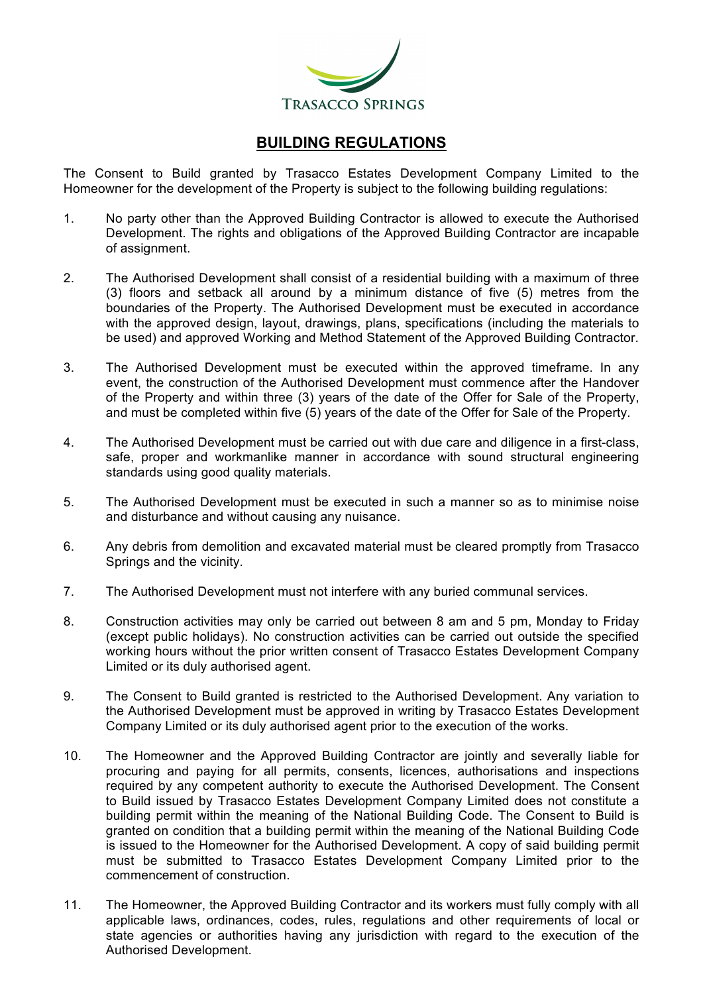

## **BUILDING REGULATIONS**

The Consent to Build granted by Trasacco Estates Development Company Limited to the Homeowner for the development of the Property is subject to the following building regulations:

- 1. No party other than the Approved Building Contractor is allowed to execute the Authorised Development. The rights and obligations of the Approved Building Contractor are incapable of assignment.
- 2. The Authorised Development shall consist of a residential building with a maximum of three (3) floors and setback all around by a minimum distance of five (5) metres from the boundaries of the Property. The Authorised Development must be executed in accordance with the approved design, layout, drawings, plans, specifications (including the materials to be used) and approved Working and Method Statement of the Approved Building Contractor.
- 3. The Authorised Development must be executed within the approved timeframe. In any event, the construction of the Authorised Development must commence after the Handover of the Property and within three (3) years of the date of the Offer for Sale of the Property, and must be completed within five (5) years of the date of the Offer for Sale of the Property.
- 4. The Authorised Development must be carried out with due care and diligence in a first-class, safe, proper and workmanlike manner in accordance with sound structural engineering standards using good quality materials.
- 5. The Authorised Development must be executed in such a manner so as to minimise noise and disturbance and without causing any nuisance.
- 6. Any debris from demolition and excavated material must be cleared promptly from Trasacco Springs and the vicinity.
- 7. The Authorised Development must not interfere with any buried communal services.
- 8. Construction activities may only be carried out between 8 am and 5 pm, Monday to Friday (except public holidays). No construction activities can be carried out outside the specified working hours without the prior written consent of Trasacco Estates Development Company Limited or its duly authorised agent.
- 9. The Consent to Build granted is restricted to the Authorised Development. Any variation to the Authorised Development must be approved in writing by Trasacco Estates Development Company Limited or its duly authorised agent prior to the execution of the works.
- 10. The Homeowner and the Approved Building Contractor are jointly and severally liable for procuring and paying for all permits, consents, licences, authorisations and inspections required by any competent authority to execute the Authorised Development. The Consent to Build issued by Trasacco Estates Development Company Limited does not constitute a building permit within the meaning of the National Building Code. The Consent to Build is granted on condition that a building permit within the meaning of the National Building Code is issued to the Homeowner for the Authorised Development. A copy of said building permit must be submitted to Trasacco Estates Development Company Limited prior to the commencement of construction.
- 11. The Homeowner, the Approved Building Contractor and its workers must fully comply with all applicable laws, ordinances, codes, rules, regulations and other requirements of local or state agencies or authorities having any jurisdiction with regard to the execution of the Authorised Development.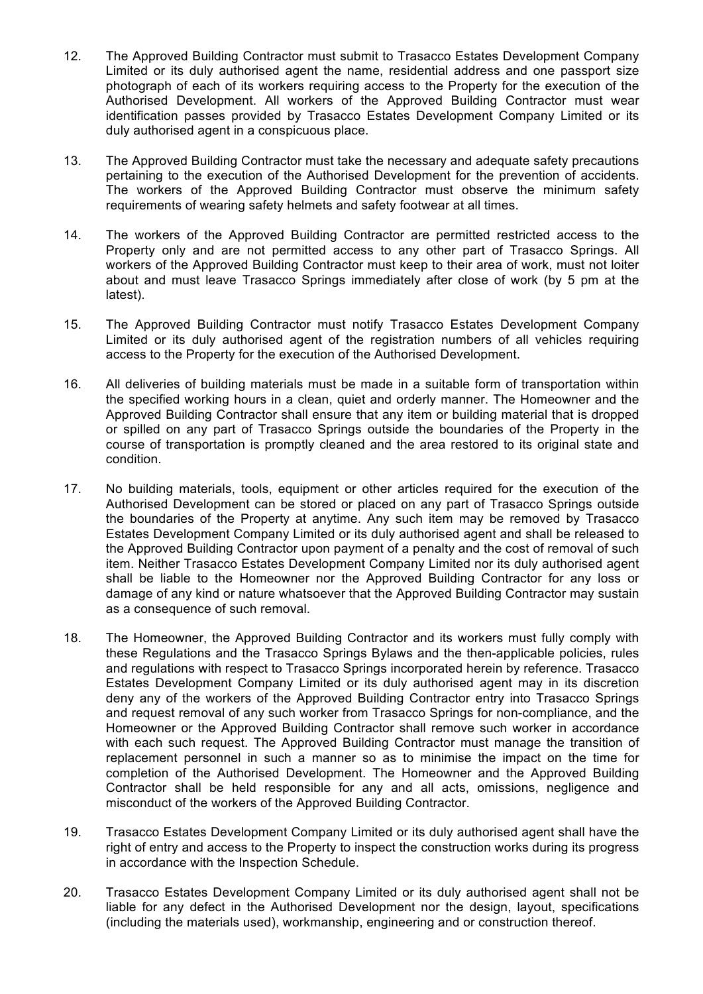- 12. The Approved Building Contractor must submit to Trasacco Estates Development Company Limited or its duly authorised agent the name, residential address and one passport size photograph of each of its workers requiring access to the Property for the execution of the Authorised Development. All workers of the Approved Building Contractor must wear identification passes provided by Trasacco Estates Development Company Limited or its duly authorised agent in a conspicuous place.
- 13. The Approved Building Contractor must take the necessary and adequate safety precautions pertaining to the execution of the Authorised Development for the prevention of accidents. The workers of the Approved Building Contractor must observe the minimum safety requirements of wearing safety helmets and safety footwear at all times.
- 14. The workers of the Approved Building Contractor are permitted restricted access to the Property only and are not permitted access to any other part of Trasacco Springs. All workers of the Approved Building Contractor must keep to their area of work, must not loiter about and must leave Trasacco Springs immediately after close of work (by 5 pm at the latest).
- 15. The Approved Building Contractor must notify Trasacco Estates Development Company Limited or its duly authorised agent of the registration numbers of all vehicles requiring access to the Property for the execution of the Authorised Development.
- 16. All deliveries of building materials must be made in a suitable form of transportation within the specified working hours in a clean, quiet and orderly manner. The Homeowner and the Approved Building Contractor shall ensure that any item or building material that is dropped or spilled on any part of Trasacco Springs outside the boundaries of the Property in the course of transportation is promptly cleaned and the area restored to its original state and condition.
- 17. No building materials, tools, equipment or other articles required for the execution of the Authorised Development can be stored or placed on any part of Trasacco Springs outside the boundaries of the Property at anytime. Any such item may be removed by Trasacco Estates Development Company Limited or its duly authorised agent and shall be released to the Approved Building Contractor upon payment of a penalty and the cost of removal of such item. Neither Trasacco Estates Development Company Limited nor its duly authorised agent shall be liable to the Homeowner nor the Approved Building Contractor for any loss or damage of any kind or nature whatsoever that the Approved Building Contractor may sustain as a consequence of such removal.
- 18. The Homeowner, the Approved Building Contractor and its workers must fully comply with these Regulations and the Trasacco Springs Bylaws and the then-applicable policies, rules and regulations with respect to Trasacco Springs incorporated herein by reference. Trasacco Estates Development Company Limited or its duly authorised agent may in its discretion deny any of the workers of the Approved Building Contractor entry into Trasacco Springs and request removal of any such worker from Trasacco Springs for non-compliance, and the Homeowner or the Approved Building Contractor shall remove such worker in accordance with each such request. The Approved Building Contractor must manage the transition of replacement personnel in such a manner so as to minimise the impact on the time for completion of the Authorised Development. The Homeowner and the Approved Building Contractor shall be held responsible for any and all acts, omissions, negligence and misconduct of the workers of the Approved Building Contractor.
- 19. Trasacco Estates Development Company Limited or its duly authorised agent shall have the right of entry and access to the Property to inspect the construction works during its progress in accordance with the Inspection Schedule.
- 20. Trasacco Estates Development Company Limited or its duly authorised agent shall not be liable for any defect in the Authorised Development nor the design, layout, specifications (including the materials used), workmanship, engineering and or construction thereof.